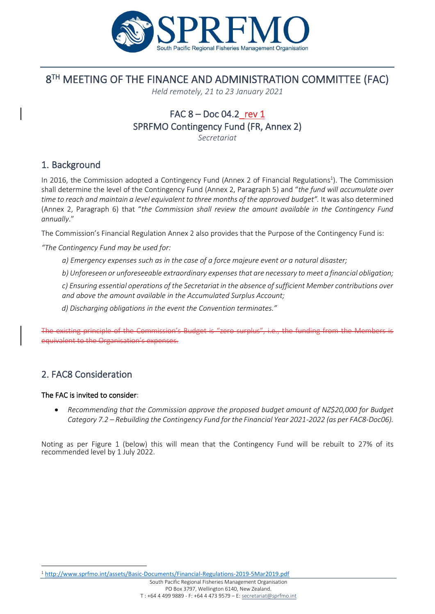

## 8 TH MEETING OF THE FINANCE AND ADMINISTRATION COMMITTEE (FAC)

*Held remotely, 21 to 23 January 2021*

# FAC  $8 -$  Doc 04.2 rev 1 SPRFMO Contingency Fund (FR, Annex 2)

*Secretariat*

#### 1. Background

In 2016, the Commission adopted a Contingency Fund (Annex 2 of Financial Regulations<sup>1</sup>). The Commission shall determine the level of the Contingency Fund (Annex 2, Paragraph 5) and "*the fund will accumulate over time to reach and maintain a level equivalent to three months of the approved budget". It was also determined* (Annex 2, Paragraph 6) that "*the Commission shall review the amount available in the Contingency Fund annually*."

The Commission's Financial Regulation Annex 2 also provides that the Purpose of the Contingency Fund is:

*"The Contingency Fund may be used for:*

- *a) Emergency expenses such as in the case of a force majeure event or a natural disaster;*
- *b) Unforeseen or unforeseeable extraordinary expenses that are necessary to meet a financial obligation;*
- *c) Ensuring essential operations of the Secretariat in the absence of sufficient Member contributions over and above the amount available in the Accumulated Surplus Account;*
- *d) Discharging obligations in the event the Convention terminates."*

The existing principle of the Commission's Budget is "zero surplus", i.e., the funding from the Members is equivalent to the Organisation's expenses.

### 2. FAC8 Consideration

#### The FAC is invited to consider:

• *Recommending that the Commission approve the proposed budget amount of NZ\$20,000 for Budget Category 7.2 – Rebuilding the Contingency Fund for the Financial Year 2021-2022 (as per FAC8-Doc06).*

Noting as per Figure 1 (below) this will mean that the Contingency Fund will be rebuilt to 27% of its recommended level by 1 July 2022.

<sup>1</sup> <http://www.sprfmo.int/assets/Basic-Documents/Financial-Regulations-2019-5Mar2019.pdf>